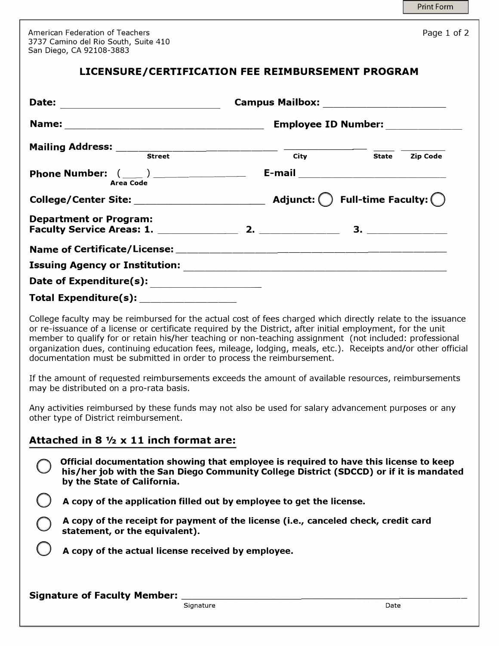|  | <b>Print Form</b> |  |
|--|-------------------|--|
|--|-------------------|--|

Page 1 of 2

American Federation of Teachers 3737 Camino del Rio South, Suite 410 San Diego, CA 92108-3883

## **LICENSURE/CERTIFICATION FEE REIMBURSEMENT PROGRAM**

| Date:<br><u> 1989 - Johann Stoff, deutscher Stoffen und der Stoffen und der Stoffen und der Stoffen und der Stoffen und der</u> |                     | Campus Mailbox: <u>_____________________</u>    |              |                 |
|---------------------------------------------------------------------------------------------------------------------------------|---------------------|-------------------------------------------------|--------------|-----------------|
|                                                                                                                                 | Employee ID Number: |                                                 |              |                 |
|                                                                                                                                 |                     |                                                 |              |                 |
| <b>Street</b>                                                                                                                   |                     | City                                            | <b>State</b> | <b>Zip Code</b> |
| Phone Number: $(\_\_)$ ___________<br><b>Area Code</b>                                                                          |                     |                                                 |              |                 |
| College/Center Site: ______________________                                                                                     |                     | Adjunct: $\bigcap$ Full-time Faculty: $\bigcap$ |              |                 |
| <b>Department or Program:</b>                                                                                                   |                     |                                                 |              |                 |
|                                                                                                                                 |                     |                                                 |              |                 |
|                                                                                                                                 |                     |                                                 |              |                 |
|                                                                                                                                 |                     |                                                 |              |                 |
| Total Expenditure(s): __________________                                                                                        |                     |                                                 |              |                 |

College faculty may be reimbursed for the actual cost of fees charged which directly relate to the issuance or re-issuance of a license or certificate required by the District, after initial employment, for the unit member to qualify for or retain his/her teaching or non-teaching assignment (not included: professional organization dues, continuing education fees, mileage, lodging, meals, etc.). Receipts and/or other official documentation must be submitted in order to process the reimbursement.

If the amount of requested reimbursements exceeds the amount of available resources, reimbursements may be distributed on a pro-rata basis.

Any activities reimbursed by these funds may not also be used for salary advancement purposes or any other type of District reimbursement.

## **Attached in 8 ½ x 11 inch format are:**

**Official documentation showing that employee is required to have this license to keep his/her job with the San Diego Community College District (SDCCD) or if it is mandated by the State of California.** 

**A copy of the application filled out by employee to get the license.** 

**A copy of the receipt for payment of the license (i.e., canceled check, credit card statement, or the equivalent).** 

**A copy of the actual license received by employee.** 

**Signature of Faculty Member: \_\_\_\_\_\_\_\_\_\_\_\_\_\_\_\_\_\_\_\_\_\_\_\_\_ \_** 

Signature